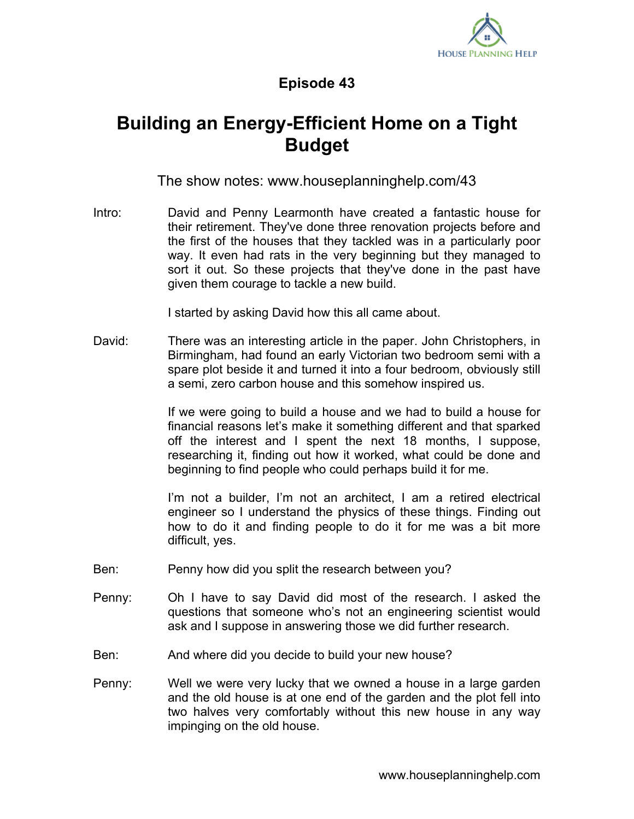

## **Episode 43**

## **Building an Energy-Efficient Home on a Tight Budget**

The show notes: www.houseplanninghelp.com/43

Intro: David and Penny Learmonth have created a fantastic house for their retirement. They've done three renovation projects before and the first of the houses that they tackled was in a particularly poor way. It even had rats in the very beginning but they managed to sort it out. So these projects that they've done in the past have given them courage to tackle a new build.

I started by asking David how this all came about.

David: There was an interesting article in the paper. John Christophers, in Birmingham, had found an early Victorian two bedroom semi with a spare plot beside it and turned it into a four bedroom, obviously still a semi, zero carbon house and this somehow inspired us.

> If we were going to build a house and we had to build a house for financial reasons let's make it something different and that sparked off the interest and I spent the next 18 months, I suppose, researching it, finding out how it worked, what could be done and beginning to find people who could perhaps build it for me.

> I'm not a builder, I'm not an architect, I am a retired electrical engineer so I understand the physics of these things. Finding out how to do it and finding people to do it for me was a bit more difficult, yes.

- Ben: Penny how did you split the research between you?
- Penny: Oh I have to say David did most of the research. I asked the questions that someone who's not an engineering scientist would ask and I suppose in answering those we did further research.
- Ben: And where did you decide to build your new house?
- Penny: Well we were very lucky that we owned a house in a large garden and the old house is at one end of the garden and the plot fell into two halves very comfortably without this new house in any way impinging on the old house.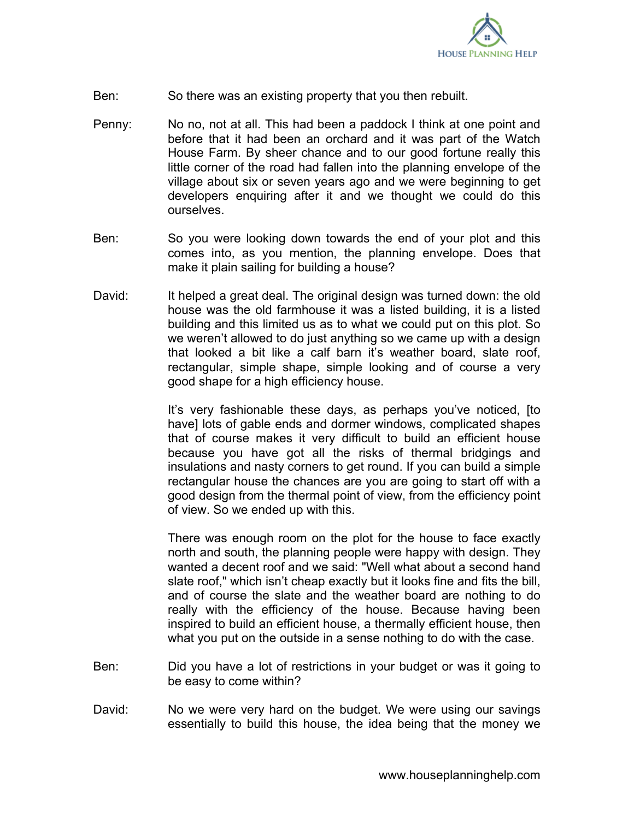

- Ben: So there was an existing property that you then rebuilt.
- Penny: No no, not at all. This had been a paddock I think at one point and before that it had been an orchard and it was part of the Watch House Farm. By sheer chance and to our good fortune really this little corner of the road had fallen into the planning envelope of the village about six or seven years ago and we were beginning to get developers enquiring after it and we thought we could do this ourselves.
- Ben: So you were looking down towards the end of your plot and this comes into, as you mention, the planning envelope. Does that make it plain sailing for building a house?
- David: It helped a great deal. The original design was turned down: the old house was the old farmhouse it was a listed building, it is a listed building and this limited us as to what we could put on this plot. So we weren't allowed to do just anything so we came up with a design that looked a bit like a calf barn it's weather board, slate roof, rectangular, simple shape, simple looking and of course a very good shape for a high efficiency house.

It's very fashionable these days, as perhaps you've noticed, [to have] lots of gable ends and dormer windows, complicated shapes that of course makes it very difficult to build an efficient house because you have got all the risks of thermal bridgings and insulations and nasty corners to get round. If you can build a simple rectangular house the chances are you are going to start off with a good design from the thermal point of view, from the efficiency point of view. So we ended up with this.

There was enough room on the plot for the house to face exactly north and south, the planning people were happy with design. They wanted a decent roof and we said: "Well what about a second hand slate roof," which isn't cheap exactly but it looks fine and fits the bill, and of course the slate and the weather board are nothing to do really with the efficiency of the house. Because having been inspired to build an efficient house, a thermally efficient house, then what you put on the outside in a sense nothing to do with the case.

- Ben: Did you have a lot of restrictions in your budget or was it going to be easy to come within?
- David: No we were very hard on the budget. We were using our savings essentially to build this house, the idea being that the money we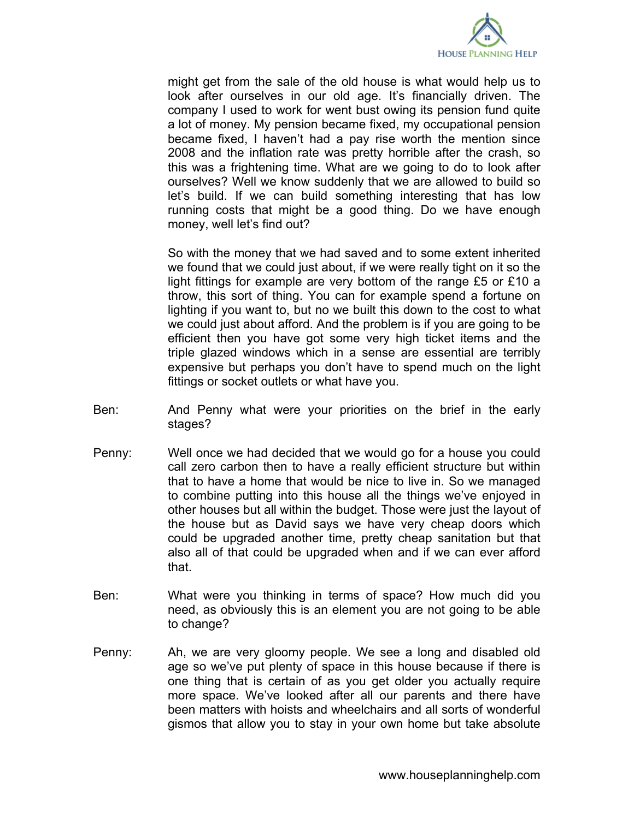

might get from the sale of the old house is what would help us to look after ourselves in our old age. It's financially driven. The company I used to work for went bust owing its pension fund quite a lot of money. My pension became fixed, my occupational pension became fixed, I haven't had a pay rise worth the mention since 2008 and the inflation rate was pretty horrible after the crash, so this was a frightening time. What are we going to do to look after ourselves? Well we know suddenly that we are allowed to build so let's build. If we can build something interesting that has low running costs that might be a good thing. Do we have enough money, well let's find out?

So with the money that we had saved and to some extent inherited we found that we could just about, if we were really tight on it so the light fittings for example are very bottom of the range £5 or £10 a throw, this sort of thing. You can for example spend a fortune on lighting if you want to, but no we built this down to the cost to what we could just about afford. And the problem is if you are going to be efficient then you have got some very high ticket items and the triple glazed windows which in a sense are essential are terribly expensive but perhaps you don't have to spend much on the light fittings or socket outlets or what have you.

- Ben: And Penny what were your priorities on the brief in the early stages?
- Penny: Well once we had decided that we would go for a house you could call zero carbon then to have a really efficient structure but within that to have a home that would be nice to live in. So we managed to combine putting into this house all the things we've enjoyed in other houses but all within the budget. Those were just the layout of the house but as David says we have very cheap doors which could be upgraded another time, pretty cheap sanitation but that also all of that could be upgraded when and if we can ever afford that.
- Ben: What were you thinking in terms of space? How much did you need, as obviously this is an element you are not going to be able to change?
- Penny: Ah, we are very gloomy people. We see a long and disabled old age so we've put plenty of space in this house because if there is one thing that is certain of as you get older you actually require more space. We've looked after all our parents and there have been matters with hoists and wheelchairs and all sorts of wonderful gismos that allow you to stay in your own home but take absolute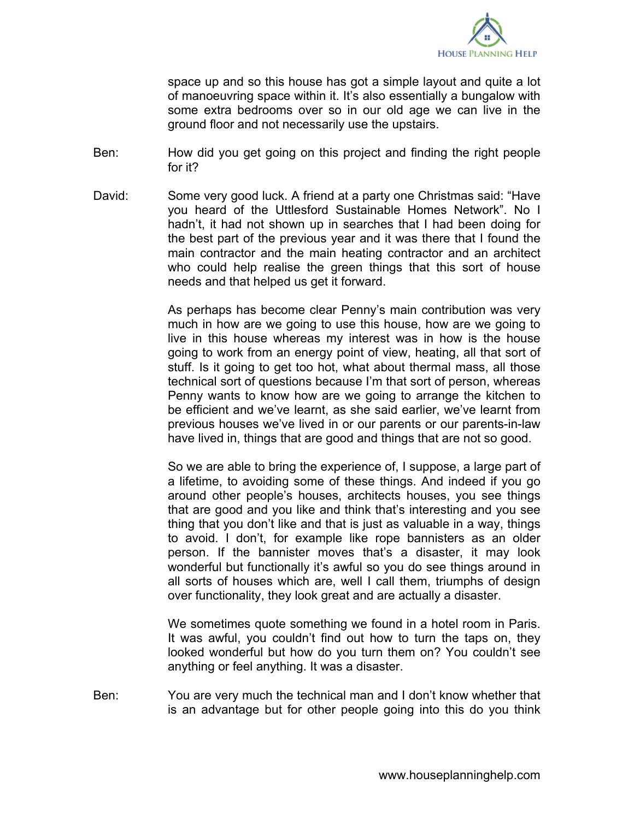

space up and so this house has got a simple layout and quite a lot of manoeuvring space within it. It's also essentially a bungalow with some extra bedrooms over so in our old age we can live in the ground floor and not necessarily use the upstairs.

- Ben: How did you get going on this project and finding the right people for it?
- David: Some very good luck. A friend at a party one Christmas said: "Have you heard of the Uttlesford Sustainable Homes Network". No I hadn't, it had not shown up in searches that I had been doing for the best part of the previous year and it was there that I found the main contractor and the main heating contractor and an architect who could help realise the green things that this sort of house needs and that helped us get it forward.

As perhaps has become clear Penny's main contribution was very much in how are we going to use this house, how are we going to live in this house whereas my interest was in how is the house going to work from an energy point of view, heating, all that sort of stuff. Is it going to get too hot, what about thermal mass, all those technical sort of questions because I'm that sort of person, whereas Penny wants to know how are we going to arrange the kitchen to be efficient and we've learnt, as she said earlier, we've learnt from previous houses we've lived in or our parents or our parents-in-law have lived in, things that are good and things that are not so good.

So we are able to bring the experience of, I suppose, a large part of a lifetime, to avoiding some of these things. And indeed if you go around other people's houses, architects houses, you see things that are good and you like and think that's interesting and you see thing that you don't like and that is just as valuable in a way, things to avoid. I don't, for example like rope bannisters as an older person. If the bannister moves that's a disaster, it may look wonderful but functionally it's awful so you do see things around in all sorts of houses which are, well I call them, triumphs of design over functionality, they look great and are actually a disaster.

We sometimes quote something we found in a hotel room in Paris. It was awful, you couldn't find out how to turn the taps on, they looked wonderful but how do you turn them on? You couldn't see anything or feel anything. It was a disaster.

Ben: You are very much the technical man and I don't know whether that is an advantage but for other people going into this do you think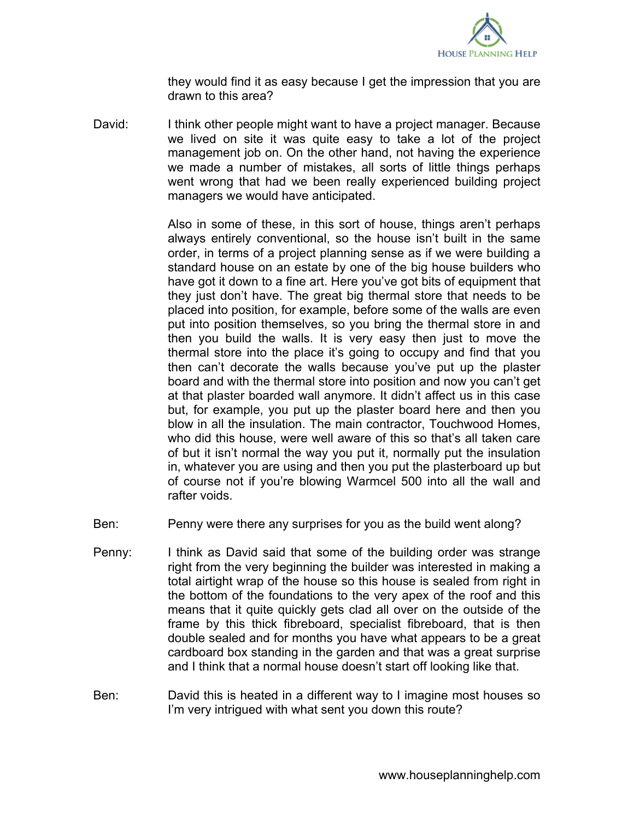

they would find it as easy because I get the impression that you are drawn to this area?

David: I think other people might want to have a project manager. Because we lived on site it was quite easy to take a lot of the project management job on. On the other hand, not having the experience we made a number of mistakes, all sorts of little things perhaps went wrong that had we been really experienced building project managers we would have anticipated.

> Also in some of these, in this sort of house, things aren't perhaps always entirely conventional, so the house isn't built in the same order, in terms of a project planning sense as if we were building a standard house on an estate by one of the big house builders who have got it down to a fine art. Here you've got bits of equipment that they just don't have. The great big thermal store that needs to be placed into position, for example, before some of the walls are even put into position themselves, so you bring the thermal store in and then you build the walls. It is very easy then just to move the thermal store into the place it's going to occupy and find that you then can't decorate the walls because you've put up the plaster board and with the thermal store into position and now you can't get at that plaster boarded wall anymore. It didn't affect us in this case but, for example, you put up the plaster board here and then you blow in all the insulation. The main contractor, Touchwood Homes, who did this house, were well aware of this so that's all taken care of but it isn't normal the way you put it, normally put the insulation in, whatever you are using and then you put the plasterboard up but of course not if you're blowing Warmcel 500 into all the wall and rafter voids.

- Ben: Penny were there any surprises for you as the build went along?
- Penny: I think as David said that some of the building order was strange right from the very beginning the builder was interested in making a total airtight wrap of the house so this house is sealed from right in the bottom of the foundations to the very apex of the roof and this means that it quite quickly gets clad all over on the outside of the frame by this thick fibreboard, specialist fibreboard, that is then double sealed and for months you have what appears to be a great cardboard box standing in the garden and that was a great surprise and I think that a normal house doesn't start off looking like that.
- Ben: David this is heated in a different way to I imagine most houses so I'm very intrigued with what sent you down this route?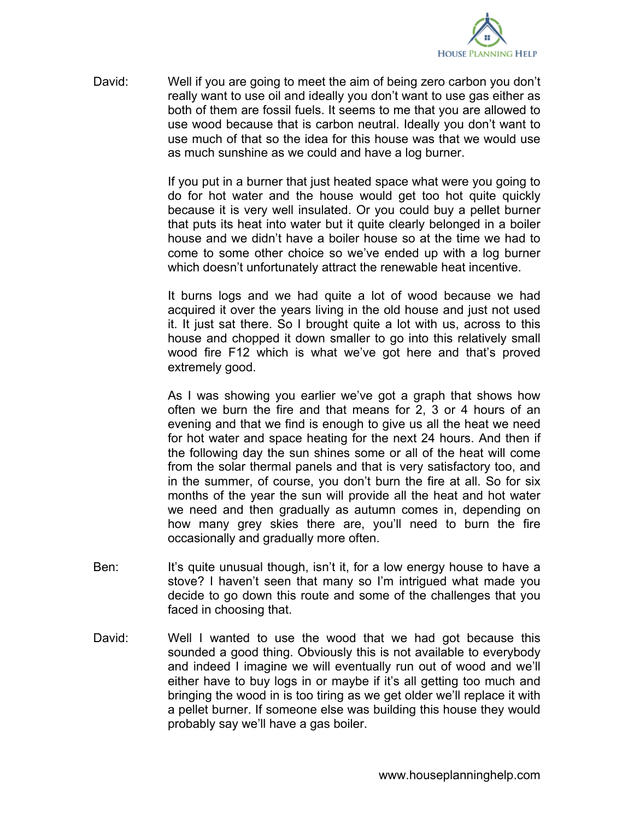

David: Well if you are going to meet the aim of being zero carbon you don't really want to use oil and ideally you don't want to use gas either as both of them are fossil fuels. It seems to me that you are allowed to use wood because that is carbon neutral. Ideally you don't want to use much of that so the idea for this house was that we would use as much sunshine as we could and have a log burner.

> If you put in a burner that just heated space what were you going to do for hot water and the house would get too hot quite quickly because it is very well insulated. Or you could buy a pellet burner that puts its heat into water but it quite clearly belonged in a boiler house and we didn't have a boiler house so at the time we had to come to some other choice so we've ended up with a log burner which doesn't unfortunately attract the renewable heat incentive.

> It burns logs and we had quite a lot of wood because we had acquired it over the years living in the old house and just not used it. It just sat there. So I brought quite a lot with us, across to this house and chopped it down smaller to go into this relatively small wood fire F12 which is what we've got here and that's proved extremely good.

> As I was showing you earlier we've got a graph that shows how often we burn the fire and that means for 2, 3 or 4 hours of an evening and that we find is enough to give us all the heat we need for hot water and space heating for the next 24 hours. And then if the following day the sun shines some or all of the heat will come from the solar thermal panels and that is very satisfactory too, and in the summer, of course, you don't burn the fire at all. So for six months of the year the sun will provide all the heat and hot water we need and then gradually as autumn comes in, depending on how many grey skies there are, you'll need to burn the fire occasionally and gradually more often.

- Ben: It's quite unusual though, isn't it, for a low energy house to have a stove? I haven't seen that many so I'm intrigued what made you decide to go down this route and some of the challenges that you faced in choosing that.
- David: Well I wanted to use the wood that we had got because this sounded a good thing. Obviously this is not available to everybody and indeed I imagine we will eventually run out of wood and we'll either have to buy logs in or maybe if it's all getting too much and bringing the wood in is too tiring as we get older we'll replace it with a pellet burner. If someone else was building this house they would probably say we'll have a gas boiler.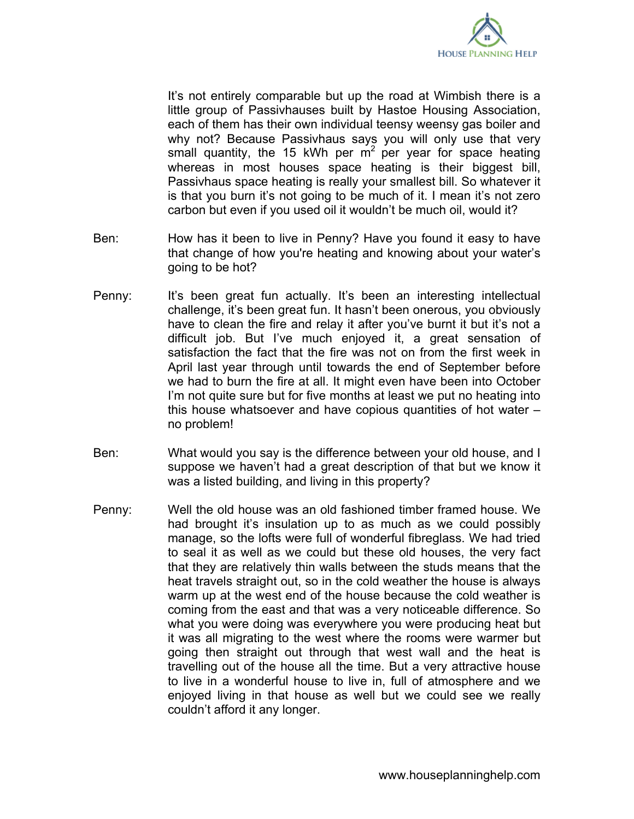

It's not entirely comparable but up the road at Wimbish there is a little group of Passivhauses built by Hastoe Housing Association, each of them has their own individual teensy weensy gas boiler and why not? Because Passivhaus says you will only use that very small quantity, the 15 kWh per  $m^2$  per year for space heating whereas in most houses space heating is their biggest bill, Passivhaus space heating is really your smallest bill. So whatever it is that you burn it's not going to be much of it. I mean it's not zero carbon but even if you used oil it wouldn't be much oil, would it?

- Ben: How has it been to live in Penny? Have you found it easy to have that change of how you're heating and knowing about your water's going to be hot?
- Penny: It's been great fun actually. It's been an interesting intellectual challenge, it's been great fun. It hasn't been onerous, you obviously have to clean the fire and relay it after you've burnt it but it's not a difficult job. But I've much enjoyed it, a great sensation of satisfaction the fact that the fire was not on from the first week in April last year through until towards the end of September before we had to burn the fire at all. It might even have been into October I'm not quite sure but for five months at least we put no heating into this house whatsoever and have copious quantities of hot water – no problem!
- Ben: What would you say is the difference between your old house, and I suppose we haven't had a great description of that but we know it was a listed building, and living in this property?
- Penny: Well the old house was an old fashioned timber framed house. We had brought it's insulation up to as much as we could possibly manage, so the lofts were full of wonderful fibreglass. We had tried to seal it as well as we could but these old houses, the very fact that they are relatively thin walls between the studs means that the heat travels straight out, so in the cold weather the house is always warm up at the west end of the house because the cold weather is coming from the east and that was a very noticeable difference. So what you were doing was everywhere you were producing heat but it was all migrating to the west where the rooms were warmer but going then straight out through that west wall and the heat is travelling out of the house all the time. But a very attractive house to live in a wonderful house to live in, full of atmosphere and we enjoyed living in that house as well but we could see we really couldn't afford it any longer.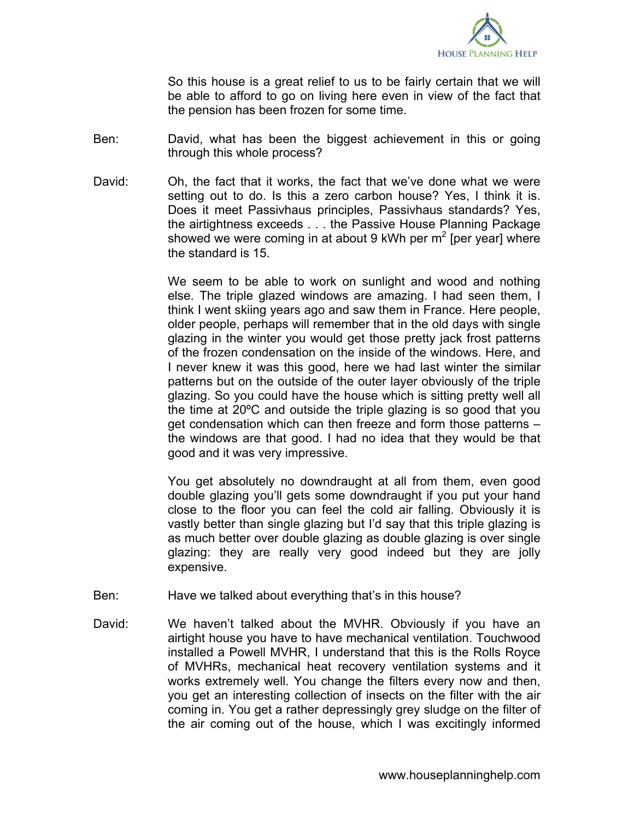

So this house is a great relief to us to be fairly certain that we will be able to afford to go on living here even in view of the fact that the pension has been frozen for some time.

- Ben: David, what has been the biggest achievement in this or going through this whole process?
- David: Oh, the fact that it works, the fact that we've done what we were setting out to do. Is this a zero carbon house? Yes, I think it is. Does it meet Passivhaus principles, Passivhaus standards? Yes, the airtightness exceeds . . . the Passive House Planning Package showed we were coming in at about 9 kWh per  $m^2$  [per year] where the standard is 15.

We seem to be able to work on sunlight and wood and nothing else. The triple glazed windows are amazing. I had seen them, I think I went skiing years ago and saw them in France. Here people, older people, perhaps will remember that in the old days with single glazing in the winter you would get those pretty jack frost patterns of the frozen condensation on the inside of the windows. Here, and I never knew it was this good, here we had last winter the similar patterns but on the outside of the outer layer obviously of the triple glazing. So you could have the house which is sitting pretty well all the time at 20ºC and outside the triple glazing is so good that you get condensation which can then freeze and form those patterns – the windows are that good. I had no idea that they would be that good and it was very impressive.

You get absolutely no downdraught at all from them, even good double glazing you'll gets some downdraught if you put your hand close to the floor you can feel the cold air falling. Obviously it is vastly better than single glazing but I'd say that this triple glazing is as much better over double glazing as double glazing is over single glazing: they are really very good indeed but they are jolly expensive.

- Ben: Have we talked about everything that's in this house?
- David: We haven't talked about the MVHR. Obviously if you have an airtight house you have to have mechanical ventilation. Touchwood installed a Powell MVHR, I understand that this is the Rolls Royce of MVHRs, mechanical heat recovery ventilation systems and it works extremely well. You change the filters every now and then, you get an interesting collection of insects on the filter with the air coming in. You get a rather depressingly grey sludge on the filter of the air coming out of the house, which I was excitingly informed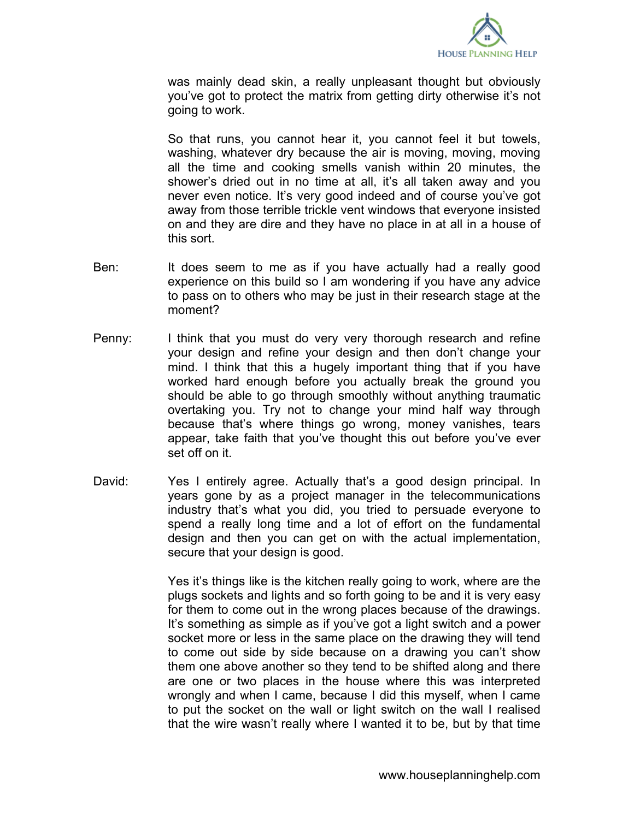

was mainly dead skin, a really unpleasant thought but obviously you've got to protect the matrix from getting dirty otherwise it's not going to work.

So that runs, you cannot hear it, you cannot feel it but towels, washing, whatever dry because the air is moving, moving, moving all the time and cooking smells vanish within 20 minutes, the shower's dried out in no time at all, it's all taken away and you never even notice. It's very good indeed and of course you've got away from those terrible trickle vent windows that everyone insisted on and they are dire and they have no place in at all in a house of this sort.

- Ben: It does seem to me as if you have actually had a really good experience on this build so I am wondering if you have any advice to pass on to others who may be just in their research stage at the moment?
- Penny: I think that you must do very very thorough research and refine your design and refine your design and then don't change your mind. I think that this a hugely important thing that if you have worked hard enough before you actually break the ground you should be able to go through smoothly without anything traumatic overtaking you. Try not to change your mind half way through because that's where things go wrong, money vanishes, tears appear, take faith that you've thought this out before you've ever set off on it.
- David: Yes I entirely agree. Actually that's a good design principal. In years gone by as a project manager in the telecommunications industry that's what you did, you tried to persuade everyone to spend a really long time and a lot of effort on the fundamental design and then you can get on with the actual implementation, secure that your design is good.

Yes it's things like is the kitchen really going to work, where are the plugs sockets and lights and so forth going to be and it is very easy for them to come out in the wrong places because of the drawings. It's something as simple as if you've got a light switch and a power socket more or less in the same place on the drawing they will tend to come out side by side because on a drawing you can't show them one above another so they tend to be shifted along and there are one or two places in the house where this was interpreted wrongly and when I came, because I did this myself, when I came to put the socket on the wall or light switch on the wall I realised that the wire wasn't really where I wanted it to be, but by that time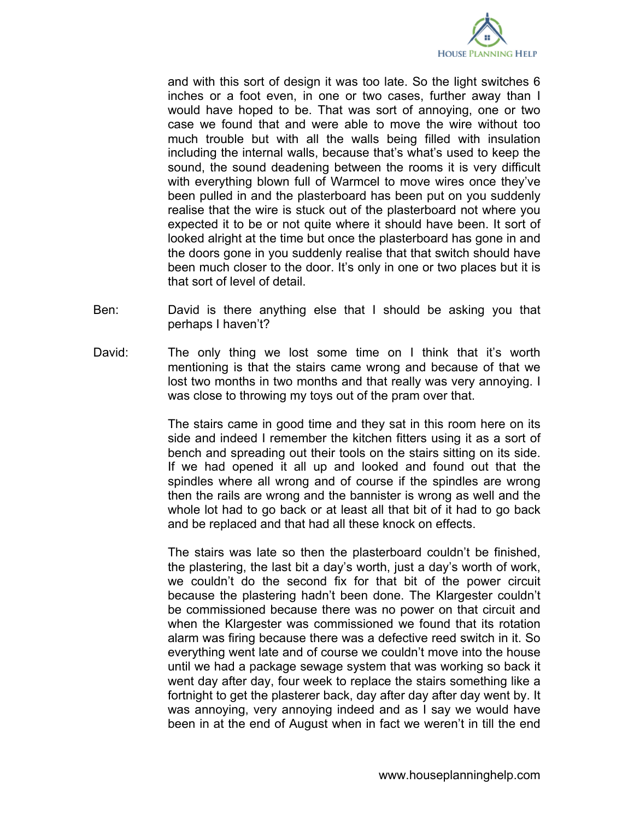

and with this sort of design it was too late. So the light switches 6 inches or a foot even, in one or two cases, further away than I would have hoped to be. That was sort of annoying, one or two case we found that and were able to move the wire without too much trouble but with all the walls being filled with insulation including the internal walls, because that's what's used to keep the sound, the sound deadening between the rooms it is very difficult with everything blown full of Warmcel to move wires once they've been pulled in and the plasterboard has been put on you suddenly realise that the wire is stuck out of the plasterboard not where you expected it to be or not quite where it should have been. It sort of looked alright at the time but once the plasterboard has gone in and the doors gone in you suddenly realise that that switch should have been much closer to the door. It's only in one or two places but it is that sort of level of detail.

- Ben: David is there anything else that I should be asking you that perhaps I haven't?
- David: The only thing we lost some time on I think that it's worth mentioning is that the stairs came wrong and because of that we lost two months in two months and that really was very annoying. I was close to throwing my toys out of the pram over that.

The stairs came in good time and they sat in this room here on its side and indeed I remember the kitchen fitters using it as a sort of bench and spreading out their tools on the stairs sitting on its side. If we had opened it all up and looked and found out that the spindles where all wrong and of course if the spindles are wrong then the rails are wrong and the bannister is wrong as well and the whole lot had to go back or at least all that bit of it had to go back and be replaced and that had all these knock on effects.

The stairs was late so then the plasterboard couldn't be finished, the plastering, the last bit a day's worth, just a day's worth of work, we couldn't do the second fix for that bit of the power circuit because the plastering hadn't been done. The Klargester couldn't be commissioned because there was no power on that circuit and when the Klargester was commissioned we found that its rotation alarm was firing because there was a defective reed switch in it. So everything went late and of course we couldn't move into the house until we had a package sewage system that was working so back it went day after day, four week to replace the stairs something like a fortnight to get the plasterer back, day after day after day went by. It was annoying, very annoying indeed and as I say we would have been in at the end of August when in fact we weren't in till the end